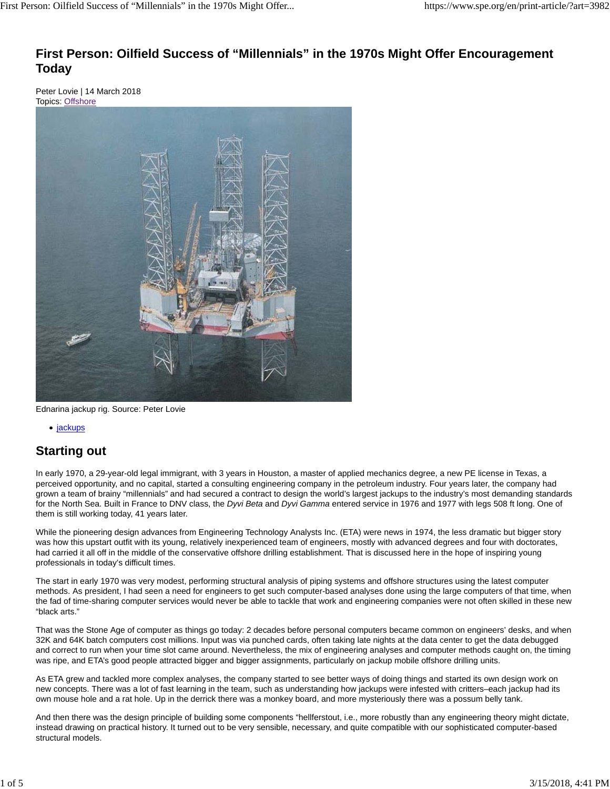#### **First Person: Oilfield Success of "Millennials" in the 1970s Might Offer Encouragement Today**

Peter Lovie | 14 March 2018 Topics: Offshore



Ednarina jackup rig. Source: Peter Lovie

• jackups

#### **Starting out**

In early 1970, a 29-year-old legal immigrant, with 3 years in Houston, a master of applied mechanics degree, a new PE license in Texas, a perceived opportunity, and no capital, started a consulting engineering company in the petroleum industry. Four years later, the company had grown a team of brainy "millennials" and had secured a contract to design the world's largest jackups to the industry's most demanding standards for the North Sea. Built in France to DNV class, the *Dyvi Beta* and *Dyvi Gamma* entered service in 1976 and 1977 with legs 508 ft long. One of them is still working today, 41 years later.

While the pioneering design advances from Engineering Technology Analysts Inc. (ETA) were news in 1974, the less dramatic but bigger story was how this upstart outfit with its young, relatively inexperienced team of engineers, mostly with advanced degrees and four with doctorates, had carried it all off in the middle of the conservative offshore drilling establishment. That is discussed here in the hope of inspiring young professionals in today's difficult times.

The start in early 1970 was very modest, performing structural analysis of piping systems and offshore structures using the latest computer methods. As president, I had seen a need for engineers to get such computer-based analyses done using the large computers of that time, when the fad of time-sharing computer services would never be able to tackle that work and engineering companies were not often skilled in these new "black arts."

That was the Stone Age of computer as things go today: 2 decades before personal computers became common on engineers' desks, and when 32K and 64K batch computers cost millions. Input was via punched cards, often taking late nights at the data center to get the data debugged and correct to run when your time slot came around. Nevertheless, the mix of engineering analyses and computer methods caught on, the timing was ripe, and ETA's good people attracted bigger and bigger assignments, particularly on jackup mobile offshore drilling units.

As ETA grew and tackled more complex analyses, the company started to see better ways of doing things and started its own design work on new concepts. There was a lot of fast learning in the team, such as understanding how jackups were infested with critters–each jackup had its own mouse hole and a rat hole. Up in the derrick there was a monkey board, and more mysteriously there was a possum belly tank.

And then there was the design principle of building some components "hellferstout, i.e., more robustly than any engineering theory might dictate, instead drawing on practical history. It turned out to be very sensible, necessary, and quite compatible with our sophisticated computer-based structural models.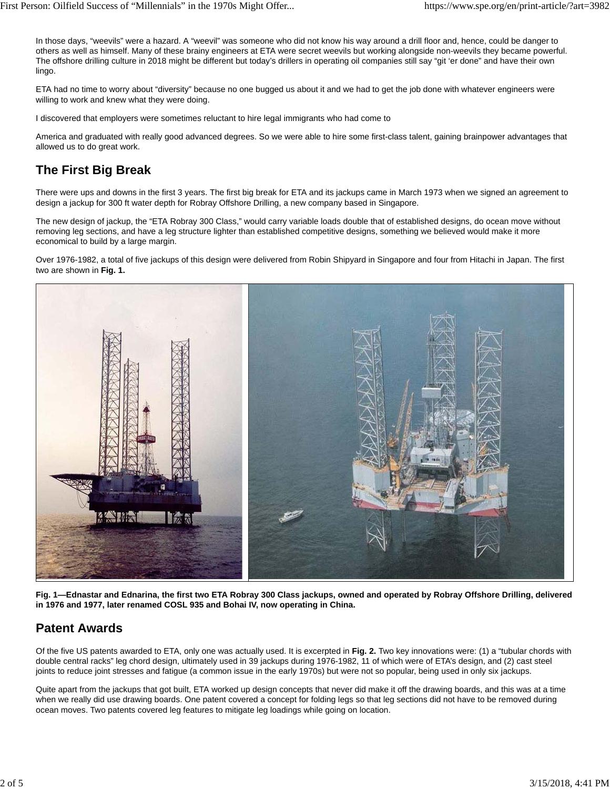In those days, "weevils" were a hazard. A "weevil" was someone who did not know his way around a drill floor and, hence, could be danger to others as well as himself. Many of these brainy engineers at ETA were secret weevils but working alongside non-weevils they became powerful. The offshore drilling culture in 2018 might be different but today's drillers in operating oil companies still say "git 'er done" and have their own lingo.

ETA had no time to worry about "diversity" because no one bugged us about it and we had to get the job done with whatever engineers were willing to work and knew what they were doing.

I discovered that employers were sometimes reluctant to hire legal immigrants who had come to

America and graduated with really good advanced degrees. So we were able to hire some first-class talent, gaining brainpower advantages that allowed us to do great work.

### **The First Big Break**

There were ups and downs in the first 3 years. The first big break for ETA and its jackups came in March 1973 when we signed an agreement to design a jackup for 300 ft water depth for Robray Offshore Drilling, a new company based in Singapore.

The new design of jackup, the "ETA Robray 300 Class," would carry variable loads double that of established designs, do ocean move without removing leg sections, and have a leg structure lighter than established competitive designs, something we believed would make it more economical to build by a large margin.

Over 1976-1982, a total of five jackups of this design were delivered from Robin Shipyard in Singapore and four from Hitachi in Japan. The first two are shown in **Fig. 1.**



**Fig. 1—Ednastar and Ednarina, the first two ETA Robray 300 Class jackups, owned and operated by Robray Offshore Drilling, delivered in 1976 and 1977, later renamed COSL 935 and Bohai IV, now operating in China.**

### **Patent Awards**

Of the five US patents awarded to ETA, only one was actually used. It is excerpted in **Fig. 2.** Two key innovations were: (1) a "tubular chords with double central racks" leg chord design, ultimately used in 39 jackups during 1976-1982, 11 of which were of ETA's design, and (2) cast steel joints to reduce joint stresses and fatigue (a common issue in the early 1970s) but were not so popular, being used in only six jackups.

Quite apart from the jackups that got built, ETA worked up design concepts that never did make it off the drawing boards, and this was at a time when we really did use drawing boards. One patent covered a concept for folding legs so that leg sections did not have to be removed during ocean moves. Two patents covered leg features to mitigate leg loadings while going on location.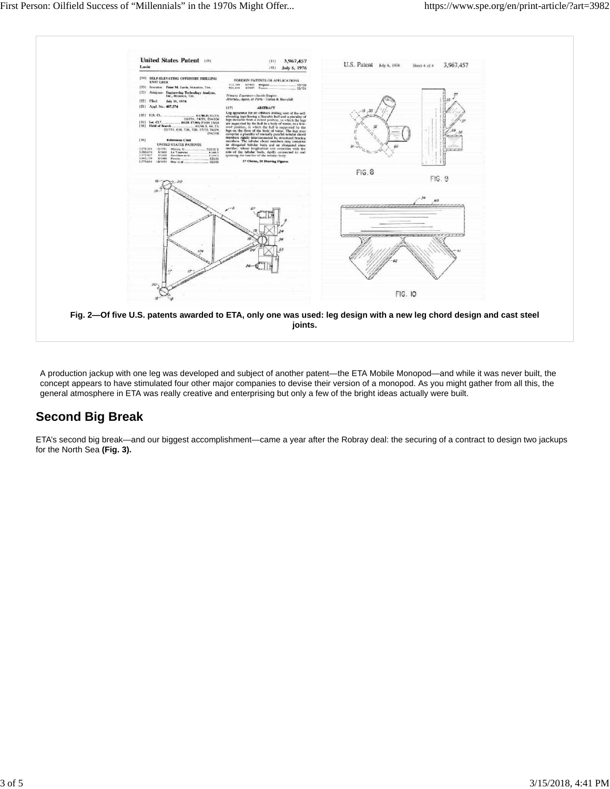

A production jackup with one leg was developed and subject of another patent—the ETA Mobile Monopod—and while it was never built, the concept appears to have stimulated four other major companies to devise their version of a monopod. As you might gather from all this, the general atmosphere in ETA was really creative and enterprising but only a few of the bright ideas actually were built.

## **Second Big Break**

ETA's second big break—and our biggest accomplishment—came a year after the Robray deal: the securing of a contract to design two jackups for the North Sea **(Fig. 3).**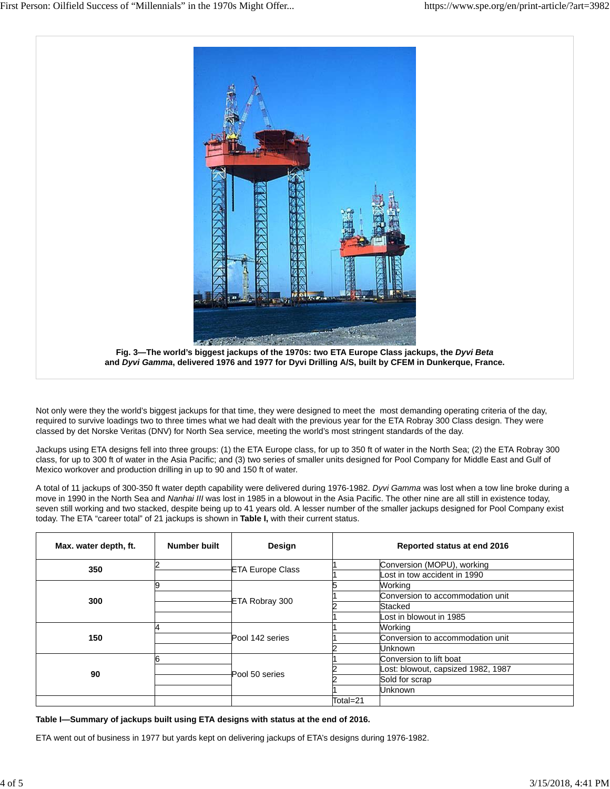

Not only were they the world's biggest jackups for that time, they were designed to meet the most demanding operating criteria of the day, required to survive loadings two to three times what we had dealt with the previous year for the ETA Robray 300 Class design. They were classed by det Norske Veritas (DNV) for North Sea service, meeting the world's most stringent standards of the day.

Jackups using ETA designs fell into three groups: (1) the ETA Europe class, for up to 350 ft of water in the North Sea; (2) the ETA Robray 300 class, for up to 300 ft of water in the Asia Pacific; and (3) two series of smaller units designed for Pool Company for Middle East and Gulf of Mexico workover and production drilling in up to 90 and 150 ft of water.

A total of 11 jackups of 300-350 ft water depth capability were delivered during 1976-1982. *Dyvi Gamma* was lost when a tow line broke during a move in 1990 in the North Sea and *Nanhai III* was lost in 1985 in a blowout in the Asia Pacific. The other nine are all still in existence today, seven still working and two stacked, despite being up to 41 years old. A lesser number of the smaller jackups designed for Pool Company exist today. The ETA "career total" of 21 jackups is shown in **Table I,** with their current status.

| Max. water depth, ft. | <b>Number built</b> | Design                  |          | Reported status at end 2016        |
|-----------------------|---------------------|-------------------------|----------|------------------------------------|
| 350                   |                     | <b>ETA Europe Class</b> |          | Conversion (MOPU), working         |
|                       |                     |                         |          | Lost in tow accident in 1990       |
| 300                   |                     | ETA Robray 300          |          | Working                            |
|                       |                     |                         |          | Conversion to accommodation unit   |
|                       |                     |                         |          | Stacked                            |
|                       |                     |                         |          | Lost in blowout in 1985            |
| 150                   |                     | Pool 142 series         |          | Working                            |
|                       |                     |                         |          | Conversion to accommodation unit   |
|                       |                     |                         |          | <b>Unknown</b>                     |
| 90                    | ิค                  | Pool 50 series          |          | Conversion to lift boat            |
|                       |                     |                         |          | Lost: blowout, capsized 1982, 1987 |
|                       |                     |                         |          | Sold for scrap                     |
|                       |                     |                         |          | <b>Unknown</b>                     |
|                       |                     |                         | Total=21 |                                    |

**Table I—Summary of jackups built using ETA designs with status at the end of 2016.**

ETA went out of business in 1977 but yards kept on delivering jackups of ETA's designs during 1976-1982.